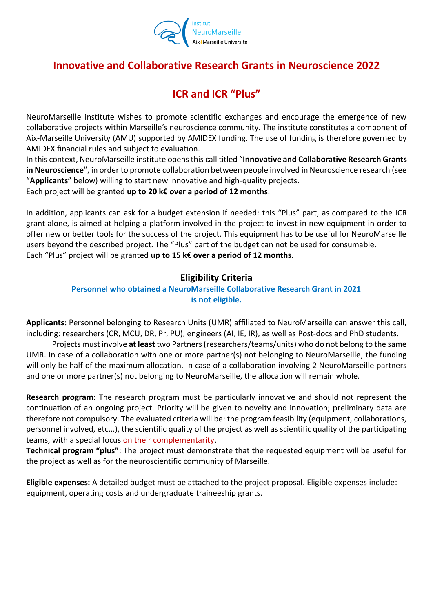

# **Innovative and Collaborative Research Grants in Neuroscience 2022**

# **ICR and ICR "Plus"**

NeuroMarseille institute wishes to promote scientific exchanges and encourage the emergence of new collaborative projects within Marseille's neuroscience community. The institute constitutes a component of Aix-Marseille University (AMU) supported by AMIDEX funding. The use of funding is therefore governed by AMIDEX financial rules and subject to evaluation.

In this context, NeuroMarseille institute opens this call titled "**Innovative and Collaborative Research Grants in Neuroscience**", in order to promote collaboration between people involved in Neuroscience research (see "**Applicants**" below) willing to start new innovative and high-quality projects.

Each project will be granted **up to 20 k€ over a period of 12 months**.

In addition, applicants can ask for a budget extension if needed: this "Plus" part, as compared to the ICR grant alone, is aimed at helping a platform involved in the project to invest in new equipment in order to offer new or better tools for the success of the project. This equipment has to be useful for NeuroMarseille users beyond the described project. The "Plus" part of the budget can not be used for consumable. Each "Plus" project will be granted **up to 15 k€ over a period of 12 months**.

### **Eligibility Criteria**

### **Personnel who obtained a NeuroMarseille Collaborative Research Grant in 2021 is not eligible.**

**Applicants:** Personnel belonging to Research Units (UMR) affiliated to NeuroMarseille can answer this call, including: researchers (CR, MCU, DR, Pr, PU), engineers (AI, IE, IR), as well as Post-docs and PhD students.

Projects must involve **at least** two Partners (researchers/teams/units) who do not belong to the same UMR. In case of a collaboration with one or more partner(s) not belonging to NeuroMarseille, the funding will only be half of the maximum allocation. In case of a collaboration involving 2 NeuroMarseille partners and one or more partner(s) not belonging to NeuroMarseille, the allocation will remain whole.

**Research program:** The research program must be particularly innovative and should not represent the continuation of an ongoing project. Priority will be given to novelty and innovation; preliminary data are therefore not compulsory. The evaluated criteria will be: the program feasibility (equipment, collaborations, personnel involved, etc...), the scientific quality of the project as well as scientific quality of the participating teams, with a special focus on their complementarity.

**Technical program "plus"**: The project must demonstrate that the requested equipment will be useful for the project as well as for the neuroscientific community of Marseille.

**Eligible expenses:** A detailed budget must be attached to the project proposal. Eligible expenses include: equipment, operating costs and undergraduate traineeship grants.